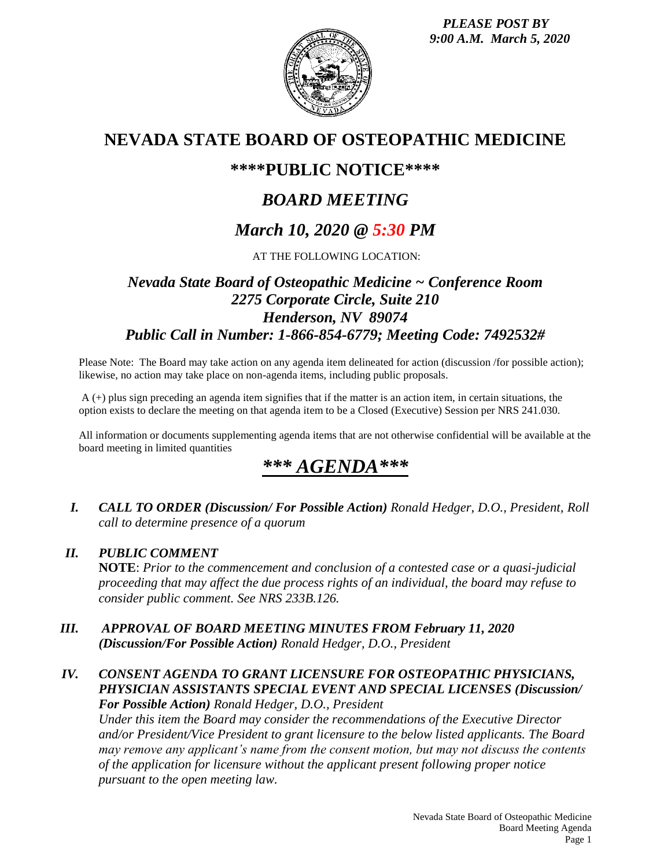*PLEASE POST BY 9:00 A.M. March 5, 2020*



# **NEVADA STATE BOARD OF OSTEOPATHIC MEDICINE**

## **\*\*\*\*PUBLIC NOTICE\*\*\*\***

# *BOARD MEETING*

# *March 10, 2020 @ 5:30 PM*

AT THE FOLLOWING LOCATION:

## *Nevada State Board of Osteopathic Medicine ~ Conference Room 2275 Corporate Circle, Suite 210 Henderson, NV 89074 Public Call in Number: 1-866-854-6779; Meeting Code: 7492532#*

Please Note: The Board may take action on any agenda item delineated for action (discussion /for possible action); likewise, no action may take place on non-agenda items, including public proposals.

A (+) plus sign preceding an agenda item signifies that if the matter is an action item, in certain situations, the option exists to declare the meeting on that agenda item to be a Closed (Executive) Session per NRS 241.030.

All information or documents supplementing agenda items that are not otherwise confidential will be available at the board meeting in limited quantities

# *\*\*\* AGENDA\*\*\**

*I. CALL TO ORDER (Discussion/ For Possible Action) Ronald Hedger, D.O., President, Roll call to determine presence of a quorum*

#### *II. PUBLIC COMMENT*

**NOTE**: *Prior to the commencement and conclusion of a contested case or a quasi-judicial proceeding that may affect the due process rights of an individual, the board may refuse to consider public comment. See NRS 233B.126.*

*III. APPROVAL OF BOARD MEETING MINUTES FROM February 11, 2020 (Discussion/For Possible Action) Ronald Hedger, D.O., President*

#### *IV. CONSENT AGENDA TO GRANT LICENSURE FOR OSTEOPATHIC PHYSICIANS, PHYSICIAN ASSISTANTS SPECIAL EVENT AND SPECIAL LICENSES (Discussion/ For Possible Action) Ronald Hedger, D.O., President*

*Under this item the Board may consider the recommendations of the Executive Director and/or President/Vice President to grant licensure to the below listed applicants. The Board may remove any applicant's name from the consent motion, but may not discuss the contents of the application for licensure without the applicant present following proper notice pursuant to the open meeting law.*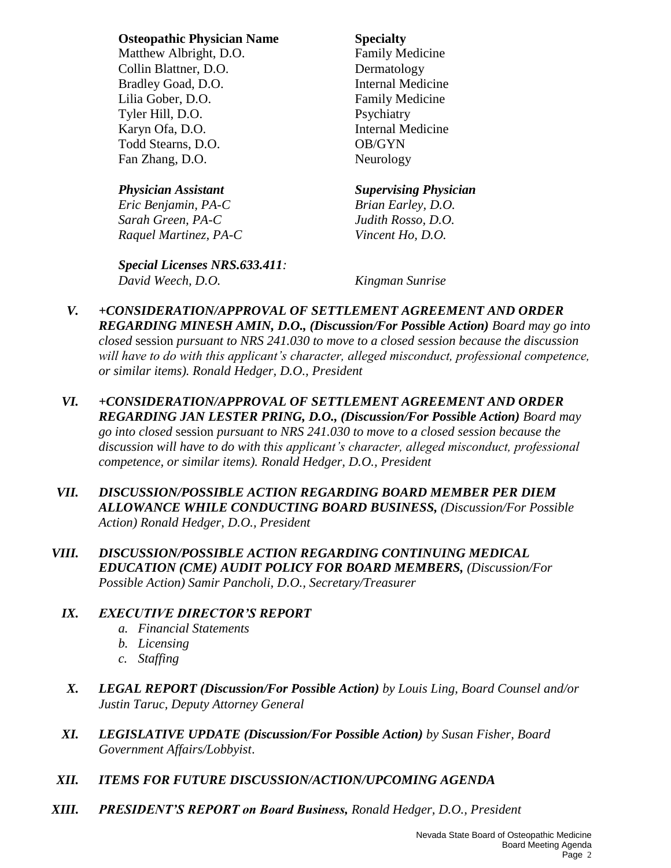#### **Osteopathic Physician Name Specialty**

Matthew Albright, D.O. Family Medicine Collin Blattner, D.O. Dermatology Bradley Goad, D.O. **Internal Medicine** Lilia Gober, D.O. Family Medicine Tyler Hill, D.O. Psychiatry Karyn Ofa, D.O. Internal Medicine Todd Stearns, D.O. **OB/GYN** Fan Zhang, D.O. Neurology

*Eric Benjamin, PA-C Brian Earley, D.O. Sarah Green, PA-C Judith Rosso, D.O. Raquel Martinez, PA-C Vincent Ho, D.O.*

#### *Special Licenses NRS.633.411: David Weech, D.O. Kingman Sunrise*

#### *Physician Assistant Supervising Physician*

- *V. +CONSIDERATION/APPROVAL OF SETTLEMENT AGREEMENT AND ORDER REGARDING MINESH AMIN, D.O., (Discussion/For Possible Action) Board may go into closed* session *pursuant to NRS 241.030 to move to a closed session because the discussion*  will have to do with this applicant's character, alleged misconduct, professional competence, *or similar items). Ronald Hedger, D.O., President*
- *VI. +CONSIDERATION/APPROVAL OF SETTLEMENT AGREEMENT AND ORDER REGARDING JAN LESTER PRING, D.O., (Discussion/For Possible Action) Board may go into closed* session *pursuant to NRS 241.030 to move to a closed session because the discussion will have to do with this applicant's character, alleged misconduct, professional competence, or similar items). Ronald Hedger, D.O., President*
- *VII. DISCUSSION/POSSIBLE ACTION REGARDING BOARD MEMBER PER DIEM ALLOWANCE WHILE CONDUCTING BOARD BUSINESS, (Discussion/For Possible Action) Ronald Hedger, D.O., President*
- *VIII. DISCUSSION/POSSIBLE ACTION REGARDING CONTINUING MEDICAL EDUCATION (CME) AUDIT POLICY FOR BOARD MEMBERS, (Discussion/For Possible Action) Samir Pancholi, D.O., Secretary/Treasurer*

### *IX. EXECUTIVE DIRECTOR'S REPORT*

- *a. Financial Statements*
- *b. Licensing*
- *c. Staffing*
- *X. LEGAL REPORT (Discussion/For Possible Action) by Louis Ling, Board Counsel and/or Justin Taruc, Deputy Attorney General*
- *XI. LEGISLATIVE UPDATE (Discussion/For Possible Action) by Susan Fisher, Board Government Affairs/Lobbyist*.
- *XII. ITEMS FOR FUTURE DISCUSSION/ACTION/UPCOMING AGENDA*
- *XIII. PRESIDENT'S REPORT on Board Business, Ronald Hedger, D.O., President*